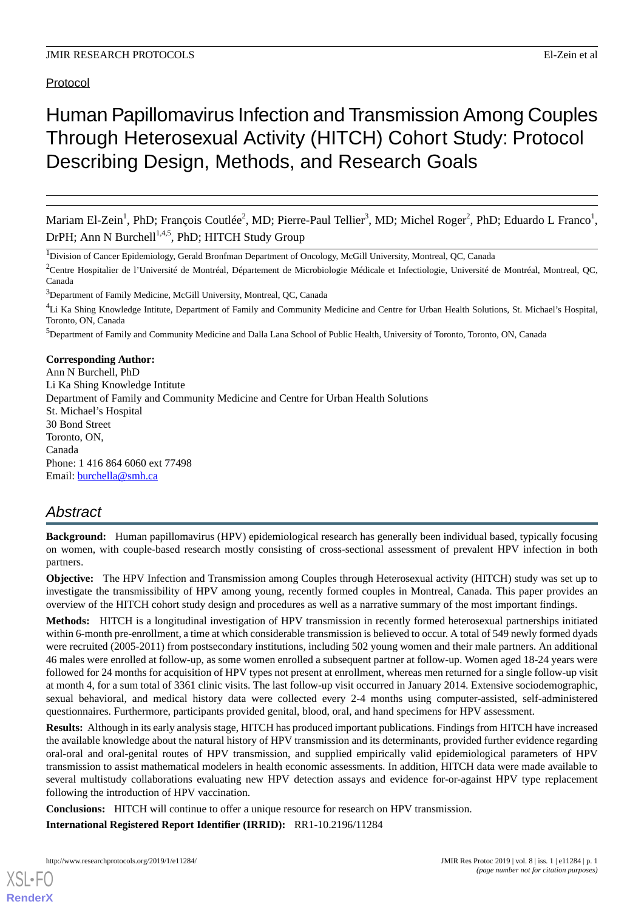Protocol

# Human Papillomavirus Infection and Transmission Among Couples Through Heterosexual Activity (HITCH) Cohort Study: Protocol Describing Design, Methods, and Research Goals

Mariam El-Zein<sup>1</sup>, PhD; François Coutlée<sup>2</sup>, MD; Pierre-Paul Tellier<sup>3</sup>, MD; Michel Roger<sup>2</sup>, PhD; Eduardo L Franco<sup>1</sup>, DrPH; Ann N Burchell<sup>1,4,5</sup>, PhD; HITCH Study Group

<sup>1</sup>Division of Cancer Epidemiology, Gerald Bronfman Department of Oncology, McGill University, Montreal, QC, Canada

<sup>2</sup>Centre Hospitalier de l'Université de Montréal, Département de Microbiologie Médicale et Infectiologie, Université de Montréal, Montreal, OC, Canada

<sup>3</sup>Department of Family Medicine, McGill University, Montreal, QC, Canada

<sup>4</sup>Li Ka Shing Knowledge Intitute, Department of Family and Community Medicine and Centre for Urban Health Solutions, St. Michael's Hospital, Toronto, ON, Canada

<sup>5</sup>Department of Family and Community Medicine and Dalla Lana School of Public Health, University of Toronto, Toronto, ON, Canada

**Corresponding Author:** Ann N Burchell, PhD Li Ka Shing Knowledge Intitute Department of Family and Community Medicine and Centre for Urban Health Solutions St. Michael's Hospital 30 Bond Street Toronto, ON, Canada Phone: 1 416 864 6060 ext 77498 Email: [burchella@smh.ca](mailto:burchella@smh.ca)

## *Abstract*

**Background:** Human papillomavirus (HPV) epidemiological research has generally been individual based, typically focusing on women, with couple-based research mostly consisting of cross-sectional assessment of prevalent HPV infection in both partners.

**Objective:** The HPV Infection and Transmission among Couples through Heterosexual activity (HITCH) study was set up to investigate the transmissibility of HPV among young, recently formed couples in Montreal, Canada. This paper provides an overview of the HITCH cohort study design and procedures as well as a narrative summary of the most important findings.

**Methods:** HITCH is a longitudinal investigation of HPV transmission in recently formed heterosexual partnerships initiated within 6-month pre-enrollment, a time at which considerable transmission is believed to occur. A total of 549 newly formed dyads were recruited (2005-2011) from postsecondary institutions, including 502 young women and their male partners. An additional 46 males were enrolled at follow-up, as some women enrolled a subsequent partner at follow-up. Women aged 18-24 years were followed for 24 months for acquisition of HPV types not present at enrollment, whereas men returned for a single follow-up visit at month 4, for a sum total of 3361 clinic visits. The last follow-up visit occurred in January 2014. Extensive sociodemographic, sexual behavioral, and medical history data were collected every 2-4 months using computer-assisted, self-administered questionnaires. Furthermore, participants provided genital, blood, oral, and hand specimens for HPV assessment.

**Results:** Although in its early analysis stage, HITCH has produced important publications. Findings from HITCH have increased the available knowledge about the natural history of HPV transmission and its determinants, provided further evidence regarding oral-oral and oral-genital routes of HPV transmission, and supplied empirically valid epidemiological parameters of HPV transmission to assist mathematical modelers in health economic assessments. In addition, HITCH data were made available to several multistudy collaborations evaluating new HPV detection assays and evidence for-or-against HPV type replacement following the introduction of HPV vaccination.

**Conclusions:** HITCH will continue to offer a unique resource for research on HPV transmission.

**International Registered Report Identifier (IRRID):** RR1-10.2196/11284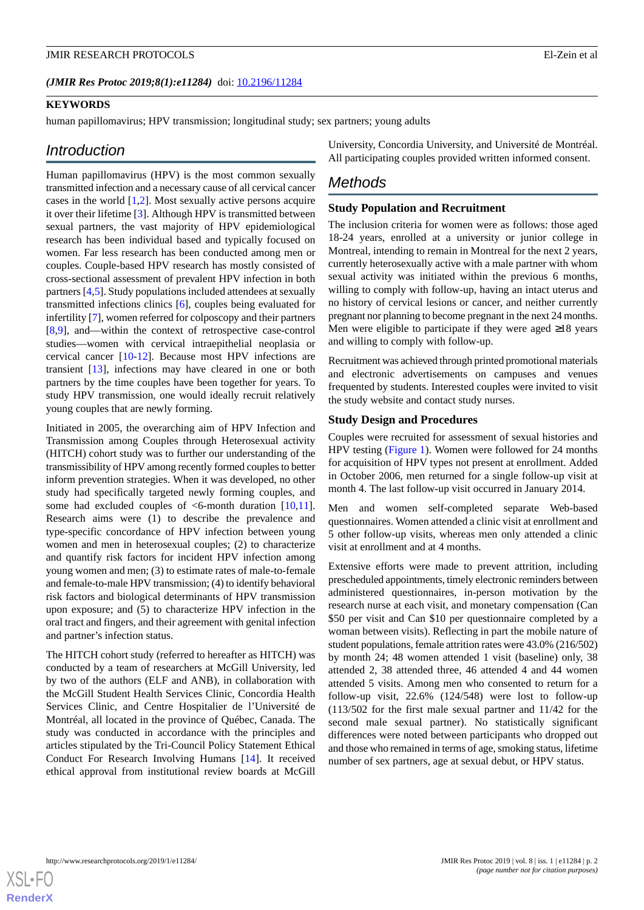#### (JMIR Res Protoc 2019;8(1):e11284) doi: [10.2196/11284](http://dx.doi.org/10.2196/11284)

### **KEYWORDS**

human papillomavirus; HPV transmission; longitudinal study; sex partners; young adults

### *Introduction*

Human papillomavirus (HPV) is the most common sexually transmitted infection and a necessary cause of all cervical cancer cases in the world  $[1,2]$  $[1,2]$  $[1,2]$  $[1,2]$ . Most sexually active persons acquire it over their lifetime [\[3](#page-8-2)]. Although HPV is transmitted between sexual partners, the vast majority of HPV epidemiological research has been individual based and typically focused on women. Far less research has been conducted among men or couples. Couple-based HPV research has mostly consisted of cross-sectional assessment of prevalent HPV infection in both partners [[4](#page-8-3)[,5](#page-8-4)]. Study populations included attendees at sexually transmitted infections clinics [[6\]](#page-8-5), couples being evaluated for infertility [\[7](#page-8-6)], women referred for colposcopy and their partners [[8](#page-8-7)[,9](#page-8-8)], and—within the context of retrospective case-control studies—women with cervical intraepithelial neoplasia or cervical cancer [\[10](#page-8-9)-[12\]](#page-8-10). Because most HPV infections are transient [\[13](#page-8-11)], infections may have cleared in one or both partners by the time couples have been together for years. To study HPV transmission, one would ideally recruit relatively young couples that are newly forming.

Initiated in 2005, the overarching aim of HPV Infection and Transmission among Couples through Heterosexual activity (HITCH) cohort study was to further our understanding of the transmissibility of HPV among recently formed couples to better inform prevention strategies. When it was developed, no other study had specifically targeted newly forming couples, and some had excluded couples of  $\leq$ 6-month duration [\[10](#page-8-9),[11\]](#page-8-12). Research aims were (1) to describe the prevalence and type-specific concordance of HPV infection between young women and men in heterosexual couples; (2) to characterize and quantify risk factors for incident HPV infection among young women and men; (3) to estimate rates of male-to-female and female-to-male HPV transmission; (4) to identify behavioral risk factors and biological determinants of HPV transmission upon exposure; and (5) to characterize HPV infection in the oral tract and fingers, and their agreement with genital infection and partner's infection status.

The HITCH cohort study (referred to hereafter as HITCH) was conducted by a team of researchers at McGill University, led by two of the authors (ELF and ANB), in collaboration with the McGill Student Health Services Clinic, Concordia Health Services Clinic, and Centre Hospitalier de l'Université de Montréal, all located in the province of Québec, Canada. The study was conducted in accordance with the principles and articles stipulated by the Tri-Council Policy Statement Ethical Conduct For Research Involving Humans [\[14](#page-8-13)]. It received ethical approval from institutional review boards at McGill

University, Concordia University, and Université de Montréal. All participating couples provided written informed consent.

### *Methods*

### **Study Population and Recruitment**

The inclusion criteria for women were as follows: those aged 18-24 years, enrolled at a university or junior college in Montreal, intending to remain in Montreal for the next 2 years, currently heterosexually active with a male partner with whom sexual activity was initiated within the previous 6 months, willing to comply with follow-up, having an intact uterus and no history of cervical lesions or cancer, and neither currently pregnant nor planning to become pregnant in the next 24 months. Men were eligible to participate if they were aged ≥18 years and willing to comply with follow-up.

Recruitment was achieved through printed promotional materials and electronic advertisements on campuses and venues frequented by students. Interested couples were invited to visit the study website and contact study nurses.

### **Study Design and Procedures**

Couples were recruited for assessment of sexual histories and HPV testing [\(Figure 1](#page-2-0)). Women were followed for 24 months for acquisition of HPV types not present at enrollment. Added in October 2006, men returned for a single follow-up visit at month 4. The last follow-up visit occurred in January 2014.

Men and women self-completed separate Web-based questionnaires. Women attended a clinic visit at enrollment and 5 other follow-up visits, whereas men only attended a clinic visit at enrollment and at 4 months.

Extensive efforts were made to prevent attrition, including prescheduled appointments, timely electronic reminders between administered questionnaires, in-person motivation by the research nurse at each visit, and monetary compensation (Can \$50 per visit and Can \$10 per questionnaire completed by a woman between visits). Reflecting in part the mobile nature of student populations, female attrition rates were 43.0% (216/502) by month 24; 48 women attended 1 visit (baseline) only, 38 attended 2, 38 attended three, 46 attended 4 and 44 women attended 5 visits. Among men who consented to return for a follow-up visit, 22.6% (124/548) were lost to follow-up (113/502 for the first male sexual partner and 11/42 for the second male sexual partner). No statistically significant differences were noted between participants who dropped out and those who remained in terms of age, smoking status, lifetime number of sex partners, age at sexual debut, or HPV status.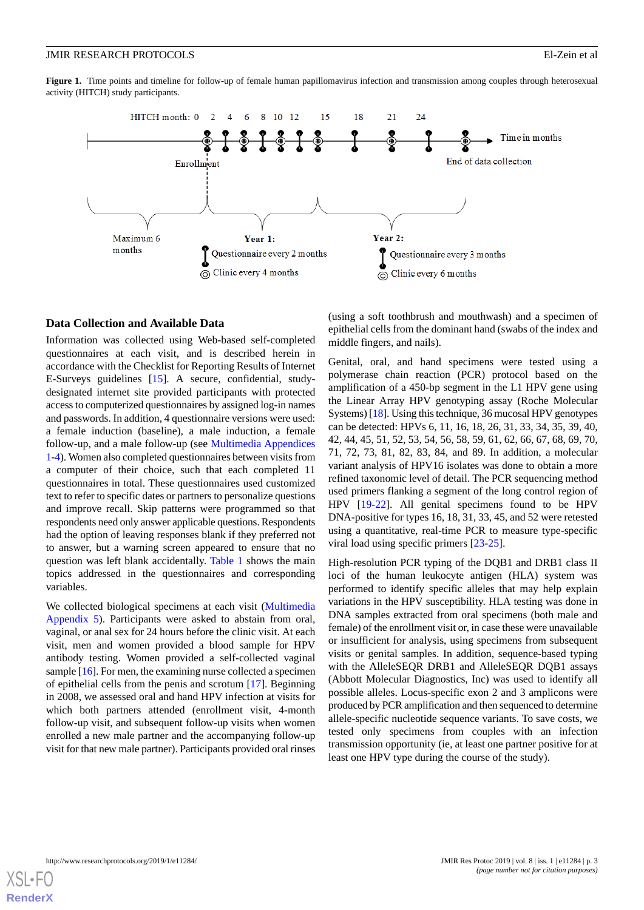<span id="page-2-0"></span>**Figure 1.** Time points and timeline for follow-up of female human papillomavirus infection and transmission among couples through heterosexual activity (HITCH) study participants.



#### **Data Collection and Available Data**

Information was collected using Web-based self-completed questionnaires at each visit, and is described herein in accordance with the Checklist for Reporting Results of Internet E-Surveys guidelines [[15\]](#page-8-14). A secure, confidential, studydesignated internet site provided participants with protected access to computerized questionnaires by assigned log-in names and passwords. In addition, 4 questionnaire versions were used: a female induction (baseline), a male induction, a female follow-up, and a male follow-up (see [Multimedia Appendices](#page-7-0) [1-](#page-7-0)[4\)](#page-7-1). Women also completed questionnaires between visits from a computer of their choice, such that each completed 11 questionnaires in total. These questionnaires used customized text to refer to specific dates or partners to personalize questions and improve recall. Skip patterns were programmed so that respondents need only answer applicable questions. Respondents had the option of leaving responses blank if they preferred not to answer, but a warning screen appeared to ensure that no question was left blank accidentally. [Table 1](#page-3-0) shows the main topics addressed in the questionnaires and corresponding variables.

We collected biological specimens at each visit ([Multimedia](#page-7-2) [Appendix 5\)](#page-7-2). Participants were asked to abstain from oral, vaginal, or anal sex for 24 hours before the clinic visit. At each visit, men and women provided a blood sample for HPV antibody testing. Women provided a self-collected vaginal sample [[16\]](#page-8-15). For men, the examining nurse collected a specimen of epithelial cells from the penis and scrotum [[17\]](#page-8-16). Beginning in 2008, we assessed oral and hand HPV infection at visits for which both partners attended (enrollment visit, 4-month follow-up visit, and subsequent follow-up visits when women enrolled a new male partner and the accompanying follow-up visit for that new male partner). Participants provided oral rinses

(using a soft toothbrush and mouthwash) and a specimen of epithelial cells from the dominant hand (swabs of the index and middle fingers, and nails).

Genital, oral, and hand specimens were tested using a polymerase chain reaction (PCR) protocol based on the amplification of a 450-bp segment in the L1 HPV gene using the Linear Array HPV genotyping assay (Roche Molecular Systems) [[18](#page-8-17)]. Using this technique, 36 mucosal HPV genotypes can be detected: HPVs 6, 11, 16, 18, 26, 31, 33, 34, 35, 39, 40, 42, 44, 45, 51, 52, 53, 54, 56, 58, 59, 61, 62, 66, 67, 68, 69, 70, 71, 72, 73, 81, 82, 83, 84, and 89. In addition, a molecular variant analysis of HPV16 isolates was done to obtain a more refined taxonomic level of detail. The PCR sequencing method used primers flanking a segment of the long control region of HPV [[19-](#page-8-18)[22](#page-9-0)]. All genital specimens found to be HPV DNA-positive for types 16, 18, 31, 33, 45, and 52 were retested using a quantitative, real-time PCR to measure type-specific viral load using specific primers [\[23](#page-9-1)-[25\]](#page-9-2).

High-resolution PCR typing of the DQB1 and DRB1 class II loci of the human leukocyte antigen (HLA) system was performed to identify specific alleles that may help explain variations in the HPV susceptibility. HLA testing was done in DNA samples extracted from oral specimens (both male and female) of the enrollment visit or, in case these were unavailable or insufficient for analysis, using specimens from subsequent visits or genital samples. In addition, sequence-based typing with the AlleleSEQR DRB1 and AlleleSEQR DQB1 assays (Abbott Molecular Diagnostics, Inc) was used to identify all possible alleles. Locus-specific exon 2 and 3 amplicons were produced by PCR amplification and then sequenced to determine allele-specific nucleotide sequence variants. To save costs, we tested only specimens from couples with an infection transmission opportunity (ie, at least one partner positive for at least one HPV type during the course of the study).

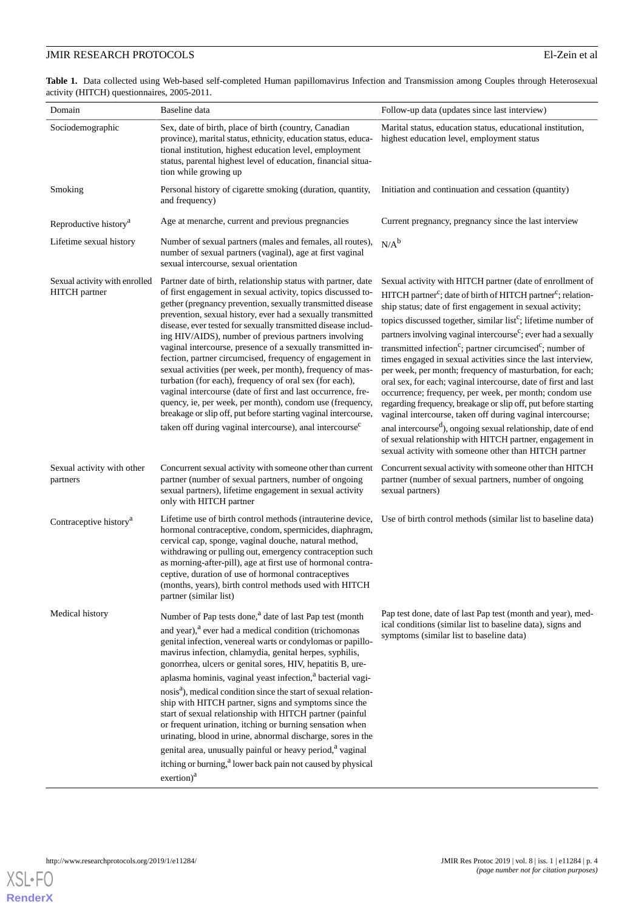<span id="page-3-0"></span>**Table 1.** Data collected using Web-based self-completed Human papillomavirus Infection and Transmission among Couples through Heterosexual activity (HITCH) questionnaires, 2005-2011.

| Domain                                         | Baseline data                                                                                                                                                                                                                                                                                                                                                                                                                                                                                                                                                                                                                                                                                                                                                                                                                                                                                                 | Follow-up data (updates since last interview)                                                                                                                                                                                                                                                                                                                                                                                                                                                                                                                                                                                                                                                                                                                                                                                                                                                                                        |
|------------------------------------------------|---------------------------------------------------------------------------------------------------------------------------------------------------------------------------------------------------------------------------------------------------------------------------------------------------------------------------------------------------------------------------------------------------------------------------------------------------------------------------------------------------------------------------------------------------------------------------------------------------------------------------------------------------------------------------------------------------------------------------------------------------------------------------------------------------------------------------------------------------------------------------------------------------------------|--------------------------------------------------------------------------------------------------------------------------------------------------------------------------------------------------------------------------------------------------------------------------------------------------------------------------------------------------------------------------------------------------------------------------------------------------------------------------------------------------------------------------------------------------------------------------------------------------------------------------------------------------------------------------------------------------------------------------------------------------------------------------------------------------------------------------------------------------------------------------------------------------------------------------------------|
| Sociodemographic                               | Sex, date of birth, place of birth (country, Canadian<br>province), marital status, ethnicity, education status, educa-<br>tional institution, highest education level, employment<br>status, parental highest level of education, financial situa-<br>tion while growing up                                                                                                                                                                                                                                                                                                                                                                                                                                                                                                                                                                                                                                  | Marital status, education status, educational institution,<br>highest education level, employment status                                                                                                                                                                                                                                                                                                                                                                                                                                                                                                                                                                                                                                                                                                                                                                                                                             |
| Smoking                                        | Personal history of cigarette smoking (duration, quantity,<br>and frequency)                                                                                                                                                                                                                                                                                                                                                                                                                                                                                                                                                                                                                                                                                                                                                                                                                                  | Initiation and continuation and cessation (quantity)                                                                                                                                                                                                                                                                                                                                                                                                                                                                                                                                                                                                                                                                                                                                                                                                                                                                                 |
| Reproductive history <sup>a</sup>              | Age at menarche, current and previous pregnancies                                                                                                                                                                                                                                                                                                                                                                                                                                                                                                                                                                                                                                                                                                                                                                                                                                                             | Current pregnancy, pregnancy since the last interview                                                                                                                                                                                                                                                                                                                                                                                                                                                                                                                                                                                                                                                                                                                                                                                                                                                                                |
| Lifetime sexual history                        | Number of sexual partners (males and females, all routes),<br>number of sexual partners (vaginal), age at first vaginal<br>sexual intercourse, sexual orientation                                                                                                                                                                                                                                                                                                                                                                                                                                                                                                                                                                                                                                                                                                                                             | $N/A^b$                                                                                                                                                                                                                                                                                                                                                                                                                                                                                                                                                                                                                                                                                                                                                                                                                                                                                                                              |
| Sexual activity with enrolled<br>HITCH partner | Partner date of birth, relationship status with partner, date<br>of first engagement in sexual activity, topics discussed to-<br>gether (pregnancy prevention, sexually transmitted disease<br>prevention, sexual history, ever had a sexually transmitted<br>disease, ever tested for sexually transmitted disease includ-<br>ing HIV/AIDS), number of previous partners involving<br>vaginal intercourse, presence of a sexually transmitted in-<br>fection, partner circumcised, frequency of engagement in<br>sexual activities (per week, per month), frequency of mas-<br>turbation (for each), frequency of oral sex (for each),<br>vaginal intercourse (date of first and last occurrence, fre-<br>quency, ie, per week, per month), condom use (frequency,<br>breakage or slip off, put before starting vaginal intercourse,<br>taken off during vaginal intercourse), anal intercourse <sup>c</sup> | Sexual activity with HITCH partner (date of enrollment of<br>HITCH partner <sup>c</sup> ; date of birth of HITCH partner <sup>c</sup> ; relation-<br>ship status; date of first engagement in sexual activity;<br>topics discussed together, similar list <sup>c</sup> ; lifetime number of<br>partners involving vaginal intercourse <sup>c</sup> ; ever had a sexually<br>transmitted infection <sup>c</sup> ; partner circumcised <sup>c</sup> ; number of<br>times engaged in sexual activities since the last interview,<br>per week, per month; frequency of masturbation, for each;<br>oral sex, for each; vaginal intercourse, date of first and last<br>occurrence; frequency, per week, per month; condom use<br>regarding frequency, breakage or slip off, put before starting<br>vaginal intercourse, taken off during vaginal intercourse;<br>anal intercourse <sup>d</sup> ), ongoing sexual relationship, date of end |
|                                                |                                                                                                                                                                                                                                                                                                                                                                                                                                                                                                                                                                                                                                                                                                                                                                                                                                                                                                               | of sexual relationship with HITCH partner, engagement in<br>sexual activity with someone other than HITCH partner                                                                                                                                                                                                                                                                                                                                                                                                                                                                                                                                                                                                                                                                                                                                                                                                                    |
| Sexual activity with other<br>partners         | Concurrent sexual activity with someone other than current<br>partner (number of sexual partners, number of ongoing<br>sexual partners), lifetime engagement in sexual activity<br>only with HITCH partner                                                                                                                                                                                                                                                                                                                                                                                                                                                                                                                                                                                                                                                                                                    | Concurrent sexual activity with someone other than HITCH<br>partner (number of sexual partners, number of ongoing<br>sexual partners)                                                                                                                                                                                                                                                                                                                                                                                                                                                                                                                                                                                                                                                                                                                                                                                                |
| Contraceptive history <sup>a</sup>             | Lifetime use of birth control methods (intrauterine device,<br>hormonal contraceptive, condom, spermicides, diaphragm,<br>cervical cap, sponge, vaginal douche, natural method,<br>withdrawing or pulling out, emergency contraception such<br>as morning-after-pill), age at first use of hormonal contra-<br>ceptive, duration of use of hormonal contraceptives<br>(months, years), birth control methods used with HITCH<br>partner (similar list)                                                                                                                                                                                                                                                                                                                                                                                                                                                        | Use of birth control methods (similar list to baseline data)                                                                                                                                                                                                                                                                                                                                                                                                                                                                                                                                                                                                                                                                                                                                                                                                                                                                         |
| Medical history                                | Number of Pap tests done, <sup>a</sup> date of last Pap test (month                                                                                                                                                                                                                                                                                                                                                                                                                                                                                                                                                                                                                                                                                                                                                                                                                                           | Pap test done, date of last Pap test (month and year), med-<br>ical conditions (similar list to baseline data), signs and<br>symptoms (similar list to baseline data)                                                                                                                                                                                                                                                                                                                                                                                                                                                                                                                                                                                                                                                                                                                                                                |
|                                                | and year), <sup>a</sup> ever had a medical condition (trichomonas<br>genital infection, venereal warts or condylomas or papillo-<br>mavirus infection, chlamydia, genital herpes, syphilis,<br>gonorrhea, ulcers or genital sores, HIV, hepatitis B, ure-                                                                                                                                                                                                                                                                                                                                                                                                                                                                                                                                                                                                                                                     |                                                                                                                                                                                                                                                                                                                                                                                                                                                                                                                                                                                                                                                                                                                                                                                                                                                                                                                                      |
|                                                | aplasma hominis, vaginal yeast infection, <sup>a</sup> bacterial vagi-                                                                                                                                                                                                                                                                                                                                                                                                                                                                                                                                                                                                                                                                                                                                                                                                                                        |                                                                                                                                                                                                                                                                                                                                                                                                                                                                                                                                                                                                                                                                                                                                                                                                                                                                                                                                      |
|                                                | nosis <sup>a</sup> ), medical condition since the start of sexual relation-<br>ship with HITCH partner, signs and symptoms since the<br>start of sexual relationship with HITCH partner (painful<br>or frequent urination, itching or burning sensation when<br>urinating, blood in urine, abnormal discharge, sores in the                                                                                                                                                                                                                                                                                                                                                                                                                                                                                                                                                                                   |                                                                                                                                                                                                                                                                                                                                                                                                                                                                                                                                                                                                                                                                                                                                                                                                                                                                                                                                      |
|                                                | genital area, unusually painful or heavy period, <sup>a</sup> vaginal<br>itching or burning, <sup>a</sup> lower back pain not caused by physical<br>exention) <sup>a</sup>                                                                                                                                                                                                                                                                                                                                                                                                                                                                                                                                                                                                                                                                                                                                    |                                                                                                                                                                                                                                                                                                                                                                                                                                                                                                                                                                                                                                                                                                                                                                                                                                                                                                                                      |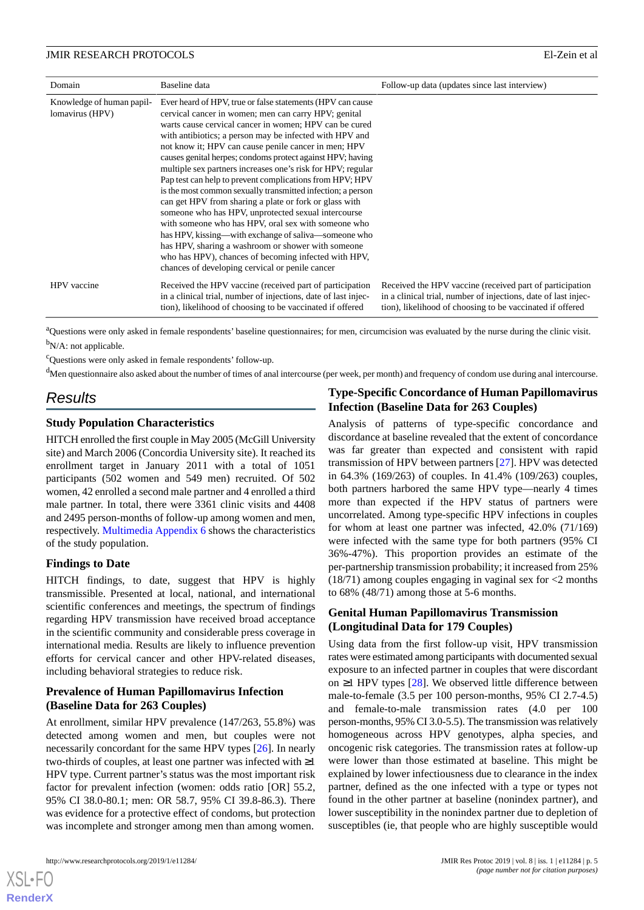| Domain                                       | Baseline data                                                                                                                                                                                                                                                                                                                                                                                                                                                                                                                                                                                                                                                                                                                                                                                                                                                                                                                                            | Follow-up data (updates since last interview)                                                                                                                                           |
|----------------------------------------------|----------------------------------------------------------------------------------------------------------------------------------------------------------------------------------------------------------------------------------------------------------------------------------------------------------------------------------------------------------------------------------------------------------------------------------------------------------------------------------------------------------------------------------------------------------------------------------------------------------------------------------------------------------------------------------------------------------------------------------------------------------------------------------------------------------------------------------------------------------------------------------------------------------------------------------------------------------|-----------------------------------------------------------------------------------------------------------------------------------------------------------------------------------------|
| Knowledge of human papil-<br>lomavirus (HPV) | Ever heard of HPV, true or false statements (HPV can cause<br>cervical cancer in women; men can carry HPV; genital<br>warts cause cervical cancer in women; HPV can be cured<br>with antibiotics; a person may be infected with HPV and<br>not know it; HPV can cause penile cancer in men; HPV<br>causes genital herpes; condoms protect against HPV; having<br>multiple sex partners increases one's risk for HPV; regular<br>Pap test can help to prevent complications from HPV; HPV<br>is the most common sexually transmitted infection; a person<br>can get HPV from sharing a plate or fork or glass with<br>someone who has HPV, unprotected sexual intercourse<br>with someone who has HPV, oral sex with someone who<br>has HPV, kissing—with exchange of saliva—someone who<br>has HPV, sharing a washroom or shower with someone<br>who has HPV), chances of becoming infected with HPV,<br>chances of developing cervical or penile cancer |                                                                                                                                                                                         |
| HPV vaccine                                  | Received the HPV vaccine (received part of participation<br>in a clinical trial, number of injections, date of last injec-<br>tion), likelihood of choosing to be vaccinated if offered                                                                                                                                                                                                                                                                                                                                                                                                                                                                                                                                                                                                                                                                                                                                                                  | Received the HPV vaccine (received part of participation<br>in a clinical trial, number of injections, date of last injec-<br>tion), likelihood of choosing to be vaccinated if offered |

<sup>a</sup>Questions were only asked in female respondents' baseline questionnaires; for men, circumcision was evaluated by the nurse during the clinic visit. <sup>b</sup>N/A: not applicable.

<sup>c</sup>Questions were only asked in female respondents' follow-up.

 $^{\text{d}}$ Men questionnaire also asked about the number of times of anal intercourse (per week, per month) and frequency of condom use during anal intercourse.

### *Results*

### **Study Population Characteristics**

HITCH enrolled the first couple in May 2005 (McGill University site) and March 2006 (Concordia University site). It reached its enrollment target in January 2011 with a total of 1051 participants (502 women and 549 men) recruited. Of 502 women, 42 enrolled a second male partner and 4 enrolled a third male partner. In total, there were 3361 clinic visits and 4408 and 2495 person-months of follow-up among women and men, respectively. [Multimedia Appendix 6](#page-7-3) shows the characteristics of the study population.

### **Findings to Date**

HITCH findings, to date, suggest that HPV is highly transmissible. Presented at local, national, and international scientific conferences and meetings, the spectrum of findings regarding HPV transmission have received broad acceptance in the scientific community and considerable press coverage in international media. Results are likely to influence prevention efforts for cervical cancer and other HPV-related diseases, including behavioral strategies to reduce risk.

### **Prevalence of Human Papillomavirus Infection (Baseline Data for 263 Couples)**

At enrollment, similar HPV prevalence (147/263, 55.8%) was detected among women and men, but couples were not necessarily concordant for the same HPV types [[26\]](#page-9-3). In nearly two-thirds of couples, at least one partner was infected with ≥1 HPV type. Current partner's status was the most important risk factor for prevalent infection (women: odds ratio [OR] 55.2, 95% CI 38.0-80.1; men: OR 58.7, 95% CI 39.8-86.3). There was evidence for a protective effect of condoms, but protection was incomplete and stronger among men than among women.

### **Type-Specific Concordance of Human Papillomavirus Infection (Baseline Data for 263 Couples)**

Analysis of patterns of type-specific concordance and discordance at baseline revealed that the extent of concordance was far greater than expected and consistent with rapid transmission of HPV between partners [[27\]](#page-9-4). HPV was detected in 64.3% (169/263) of couples. In 41.4% (109/263) couples, both partners harbored the same HPV type—nearly 4 times more than expected if the HPV status of partners were uncorrelated. Among type-specific HPV infections in couples for whom at least one partner was infected, 42.0% (71/169) were infected with the same type for both partners (95% CI 36%-47%). This proportion provides an estimate of the per-partnership transmission probability; it increased from 25% (18/71) among couples engaging in vaginal sex for <2 months to 68% (48/71) among those at 5-6 months.

### **Genital Human Papillomavirus Transmission (Longitudinal Data for 179 Couples)**

Using data from the first follow-up visit, HPV transmission rates were estimated among participants with documented sexual exposure to an infected partner in couples that were discordant on ≥1 HPV types [[28\]](#page-9-5). We observed little difference between male-to-female (3.5 per 100 person-months, 95% CI 2.7-4.5) and female-to-male transmission rates (4.0 per 100 person-months, 95% CI 3.0-5.5). The transmission was relatively homogeneous across HPV genotypes, alpha species, and oncogenic risk categories. The transmission rates at follow-up were lower than those estimated at baseline. This might be explained by lower infectiousness due to clearance in the index partner, defined as the one infected with a type or types not found in the other partner at baseline (nonindex partner), and lower susceptibility in the nonindex partner due to depletion of susceptibles (ie, that people who are highly susceptible would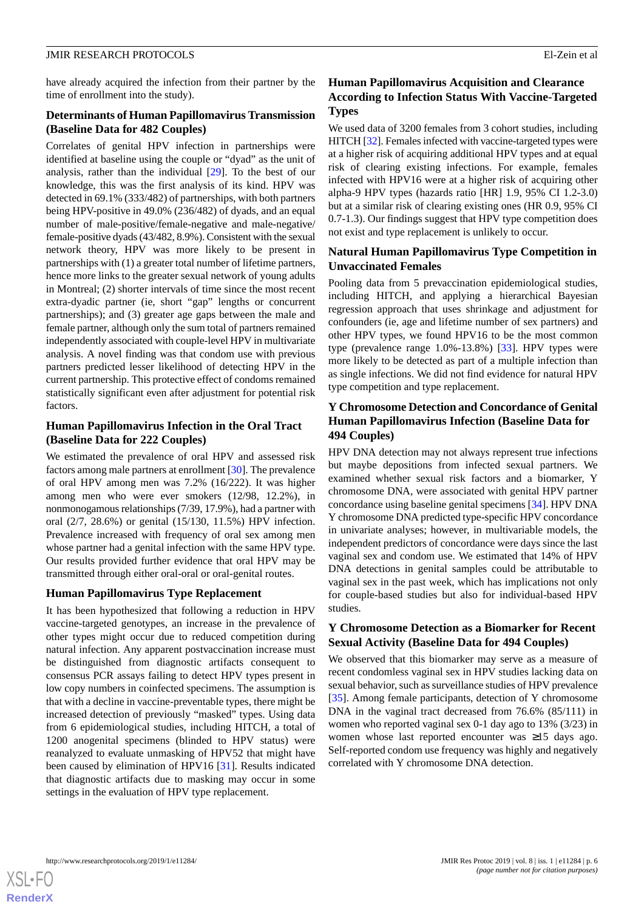have already acquired the infection from their partner by the time of enrollment into the study).

### **Determinants of Human Papillomavirus Transmission (Baseline Data for 482 Couples)**

Correlates of genital HPV infection in partnerships were identified at baseline using the couple or "dyad" as the unit of analysis, rather than the individual [[29\]](#page-9-6). To the best of our knowledge, this was the first analysis of its kind. HPV was detected in 69.1% (333/482) of partnerships, with both partners being HPV-positive in 49.0% (236/482) of dyads, and an equal number of male-positive/female-negative and male-negative/ female-positive dyads (43/482, 8.9%). Consistent with the sexual network theory, HPV was more likely to be present in partnerships with (1) a greater total number of lifetime partners, hence more links to the greater sexual network of young adults in Montreal; (2) shorter intervals of time since the most recent extra-dyadic partner (ie, short "gap" lengths or concurrent partnerships); and (3) greater age gaps between the male and female partner, although only the sum total of partners remained independently associated with couple-level HPV in multivariate analysis. A novel finding was that condom use with previous partners predicted lesser likelihood of detecting HPV in the current partnership. This protective effect of condoms remained statistically significant even after adjustment for potential risk factors.

### **Human Papillomavirus Infection in the Oral Tract (Baseline Data for 222 Couples)**

We estimated the prevalence of oral HPV and assessed risk factors among male partners at enrollment [[30\]](#page-9-7). The prevalence of oral HPV among men was 7.2% (16/222). It was higher among men who were ever smokers (12/98, 12.2%), in nonmonogamous relationships (7/39, 17.9%), had a partner with oral (2/7, 28.6%) or genital (15/130, 11.5%) HPV infection. Prevalence increased with frequency of oral sex among men whose partner had a genital infection with the same HPV type. Our results provided further evidence that oral HPV may be transmitted through either oral-oral or oral-genital routes.

### **Human Papillomavirus Type Replacement**

It has been hypothesized that following a reduction in HPV vaccine-targeted genotypes, an increase in the prevalence of other types might occur due to reduced competition during natural infection. Any apparent postvaccination increase must be distinguished from diagnostic artifacts consequent to consensus PCR assays failing to detect HPV types present in low copy numbers in coinfected specimens. The assumption is that with a decline in vaccine-preventable types, there might be increased detection of previously "masked" types. Using data from 6 epidemiological studies, including HITCH, a total of 1200 anogenital specimens (blinded to HPV status) were reanalyzed to evaluate unmasking of HPV52 that might have been caused by elimination of HPV16 [[31\]](#page-9-8). Results indicated that diagnostic artifacts due to masking may occur in some settings in the evaluation of HPV type replacement.

### **Human Papillomavirus Acquisition and Clearance According to Infection Status With Vaccine-Targeted Types**

We used data of 3200 females from 3 cohort studies, including HITCH [\[32\]](#page-9-9). Females infected with vaccine-targeted types were at a higher risk of acquiring additional HPV types and at equal risk of clearing existing infections. For example, females infected with HPV16 were at a higher risk of acquiring other alpha-9 HPV types (hazards ratio [HR] 1.9, 95% CI 1.2-3.0) but at a similar risk of clearing existing ones (HR 0.9, 95% CI 0.7-1.3). Our findings suggest that HPV type competition does not exist and type replacement is unlikely to occur.

### **Natural Human Papillomavirus Type Competition in Unvaccinated Females**

Pooling data from 5 prevaccination epidemiological studies, including HITCH, and applying a hierarchical Bayesian regression approach that uses shrinkage and adjustment for confounders (ie, age and lifetime number of sex partners) and other HPV types, we found HPV16 to be the most common type (prevalence range 1.0%-13.8%) [\[33](#page-9-10)]. HPV types were more likely to be detected as part of a multiple infection than as single infections. We did not find evidence for natural HPV type competition and type replacement.

### **Y Chromosome Detection and Concordance of Genital Human Papillomavirus Infection (Baseline Data for 494 Couples)**

HPV DNA detection may not always represent true infections but maybe depositions from infected sexual partners. We examined whether sexual risk factors and a biomarker, Y chromosome DNA, were associated with genital HPV partner concordance using baseline genital specimens [\[34](#page-9-11)]. HPV DNA Y chromosome DNA predicted type-specific HPV concordance in univariate analyses; however, in multivariable models, the independent predictors of concordance were days since the last vaginal sex and condom use. We estimated that 14% of HPV DNA detections in genital samples could be attributable to vaginal sex in the past week, which has implications not only for couple-based studies but also for individual-based HPV studies.

### **Y Chromosome Detection as a Biomarker for Recent Sexual Activity (Baseline Data for 494 Couples)**

We observed that this biomarker may serve as a measure of recent condomless vaginal sex in HPV studies lacking data on sexual behavior, such as surveillance studies of HPV prevalence [[35\]](#page-9-12). Among female participants, detection of Y chromosome DNA in the vaginal tract decreased from 76.6% (85/111) in women who reported vaginal sex 0-1 day ago to 13% (3/23) in women whose last reported encounter was ≥15 days ago. Self-reported condom use frequency was highly and negatively correlated with Y chromosome DNA detection.

 $XS$  $\cdot$ FC **[RenderX](http://www.renderx.com/)**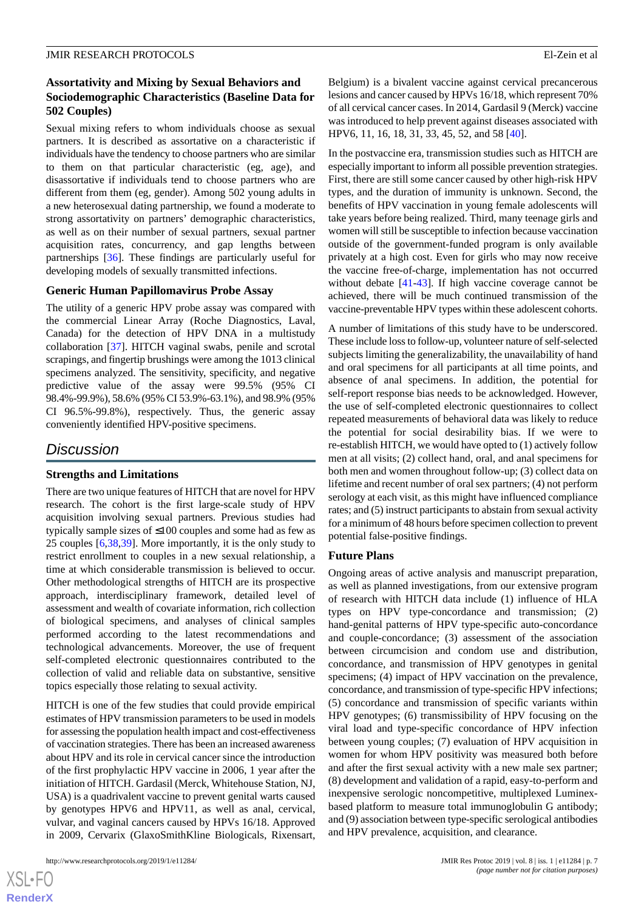### **Assortativity and Mixing by Sexual Behaviors and Sociodemographic Characteristics (Baseline Data for 502 Couples)**

Sexual mixing refers to whom individuals choose as sexual partners. It is described as assortative on a characteristic if individuals have the tendency to choose partners who are similar to them on that particular characteristic (eg, age), and disassortative if individuals tend to choose partners who are different from them (eg, gender). Among 502 young adults in a new heterosexual dating partnership, we found a moderate to strong assortativity on partners' demographic characteristics, as well as on their number of sexual partners, sexual partner acquisition rates, concurrency, and gap lengths between partnerships [\[36](#page-9-13)]. These findings are particularly useful for developing models of sexually transmitted infections.

### **Generic Human Papillomavirus Probe Assay**

The utility of a generic HPV probe assay was compared with the commercial Linear Array (Roche Diagnostics, Laval, Canada) for the detection of HPV DNA in a multistudy collaboration [\[37](#page-9-14)]. HITCH vaginal swabs, penile and scrotal scrapings, and fingertip brushings were among the 1013 clinical specimens analyzed. The sensitivity, specificity, and negative predictive value of the assay were 99.5% (95% CI 98.4%-99.9%), 58.6% (95% CI 53.9%-63.1%), and 98.9% (95% CI 96.5%-99.8%), respectively. Thus, the generic assay conveniently identified HPV-positive specimens.

### *Discussion*

### **Strengths and Limitations**

There are two unique features of HITCH that are novel for HPV research. The cohort is the first large-scale study of HPV acquisition involving sexual partners. Previous studies had typically sample sizes of ≤100 couples and some had as few as 25 couples [[6](#page-8-5)[,38](#page-9-15),[39\]](#page-10-0). More importantly, it is the only study to restrict enrollment to couples in a new sexual relationship, a time at which considerable transmission is believed to occur. Other methodological strengths of HITCH are its prospective approach, interdisciplinary framework, detailed level of assessment and wealth of covariate information, rich collection of biological specimens, and analyses of clinical samples performed according to the latest recommendations and technological advancements. Moreover, the use of frequent self-completed electronic questionnaires contributed to the collection of valid and reliable data on substantive, sensitive topics especially those relating to sexual activity.

HITCH is one of the few studies that could provide empirical estimates of HPV transmission parameters to be used in models for assessing the population health impact and cost-effectiveness of vaccination strategies. There has been an increased awareness about HPV and its role in cervical cancer since the introduction of the first prophylactic HPV vaccine in 2006, 1 year after the initiation of HITCH. Gardasil (Merck, Whitehouse Station, NJ, USA) is a quadrivalent vaccine to prevent genital warts caused by genotypes HPV6 and HPV11, as well as anal, cervical, vulvar, and vaginal cancers caused by HPVs 16/18. Approved in 2009, Cervarix (GlaxoSmithKline Biologicals, Rixensart,

 $XS$  $\cdot$ FC **[RenderX](http://www.renderx.com/)** Belgium) is a bivalent vaccine against cervical precancerous lesions and cancer caused by HPVs 16/18, which represent 70% of all cervical cancer cases. In 2014, Gardasil 9 (Merck) vaccine was introduced to help prevent against diseases associated with HPV6, 11, 16, 18, 31, 33, 45, 52, and 58 [\[40](#page-10-1)].

In the postvaccine era, transmission studies such as HITCH are especially important to inform all possible prevention strategies. First, there are still some cancer caused by other high-risk HPV types, and the duration of immunity is unknown. Second, the benefits of HPV vaccination in young female adolescents will take years before being realized. Third, many teenage girls and women will still be susceptible to infection because vaccination outside of the government-funded program is only available privately at a high cost. Even for girls who may now receive the vaccine free-of-charge, implementation has not occurred without debate [[41](#page-10-2)[-43](#page-10-3)]. If high vaccine coverage cannot be achieved, there will be much continued transmission of the vaccine-preventable HPV types within these adolescent cohorts.

A number of limitations of this study have to be underscored. These include loss to follow-up, volunteer nature of self-selected subjects limiting the generalizability, the unavailability of hand and oral specimens for all participants at all time points, and absence of anal specimens. In addition, the potential for self-report response bias needs to be acknowledged. However, the use of self-completed electronic questionnaires to collect repeated measurements of behavioral data was likely to reduce the potential for social desirability bias. If we were to re-establish HITCH, we would have opted to (1) actively follow men at all visits; (2) collect hand, oral, and anal specimens for both men and women throughout follow-up; (3) collect data on lifetime and recent number of oral sex partners; (4) not perform serology at each visit, as this might have influenced compliance rates; and (5) instruct participants to abstain from sexual activity for a minimum of 48 hours before specimen collection to prevent potential false-positive findings.

#### **Future Plans**

Ongoing areas of active analysis and manuscript preparation, as well as planned investigations, from our extensive program of research with HITCH data include (1) influence of HLA types on HPV type-concordance and transmission; (2) hand-genital patterns of HPV type-specific auto-concordance and couple-concordance; (3) assessment of the association between circumcision and condom use and distribution, concordance, and transmission of HPV genotypes in genital specimens; (4) impact of HPV vaccination on the prevalence, concordance, and transmission of type-specific HPV infections; (5) concordance and transmission of specific variants within HPV genotypes; (6) transmissibility of HPV focusing on the viral load and type-specific concordance of HPV infection between young couples; (7) evaluation of HPV acquisition in women for whom HPV positivity was measured both before and after the first sexual activity with a new male sex partner; (8) development and validation of a rapid, easy-to-perform and inexpensive serologic noncompetitive, multiplexed Luminexbased platform to measure total immunoglobulin G antibody; and (9) association between type-specific serological antibodies and HPV prevalence, acquisition, and clearance.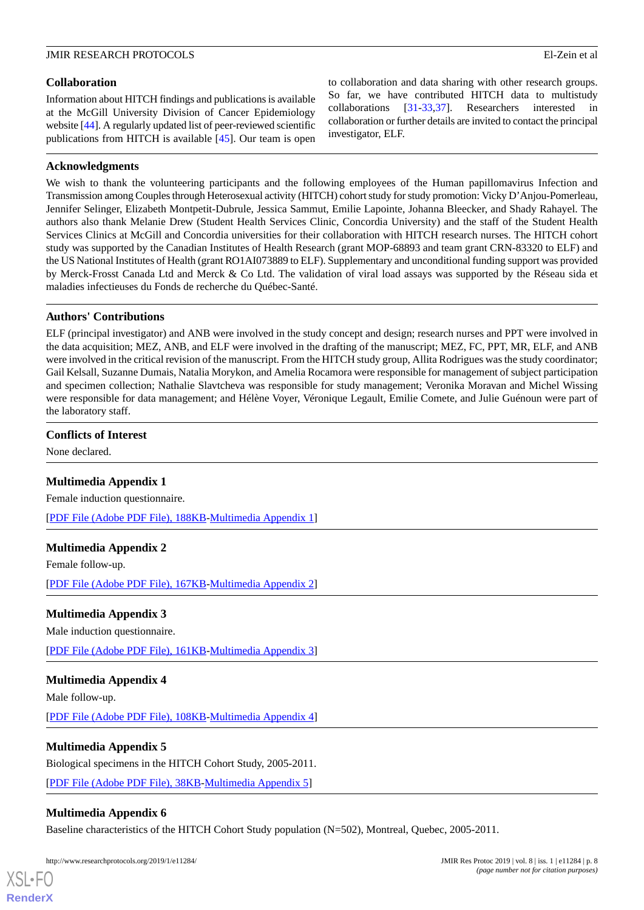### **Collaboration**

Information about HITCH findings and publications is available at the McGill University Division of Cancer Epidemiology website [[44\]](#page-10-4). A regularly updated list of peer-reviewed scientific publications from HITCH is available [\[45](#page-10-5)]. Our team is open

to collaboration and data sharing with other research groups. So far, we have contributed HITCH data to multistudy collaborations [[31-](#page-9-8)[33](#page-9-10),[37\]](#page-9-14). Researchers interested in collaboration or further details are invited to contact the principal investigator, ELF.

### **Acknowledgments**

We wish to thank the volunteering participants and the following employees of the Human papillomavirus Infection and Transmission among Couples through Heterosexual activity (HITCH) cohort study for study promotion: Vicky D'Anjou-Pomerleau, Jennifer Selinger, Elizabeth Montpetit-Dubrule, Jessica Sammut, Emilie Lapointe, Johanna Bleecker, and Shady Rahayel. The authors also thank Melanie Drew (Student Health Services Clinic, Concordia University) and the staff of the Student Health Services Clinics at McGill and Concordia universities for their collaboration with HITCH research nurses. The HITCH cohort study was supported by the Canadian Institutes of Health Research (grant MOP-68893 and team grant CRN-83320 to ELF) and the US National Institutes of Health (grant RO1AI073889 to ELF). Supplementary and unconditional funding support was provided by Merck-Frosst Canada Ltd and Merck & Co Ltd. The validation of viral load assays was supported by the Réseau sida et maladies infectieuses du Fonds de recherche du Québec-Santé.

### **Authors' Contributions**

ELF (principal investigator) and ANB were involved in the study concept and design; research nurses and PPT were involved in the data acquisition; MEZ, ANB, and ELF were involved in the drafting of the manuscript; MEZ, FC, PPT, MR, ELF, and ANB were involved in the critical revision of the manuscript. From the HITCH study group, Allita Rodrigues was the study coordinator; Gail Kelsall, Suzanne Dumais, Natalia Morykon, and Amelia Rocamora were responsible for management of subject participation and specimen collection; Nathalie Slavtcheva was responsible for study management; Veronika Moravan and Michel Wissing were responsible for data management; and Hélène Voyer, Véronique Legault, Emilie Comete, and Julie Guénoun were part of the laboratory staff.

### <span id="page-7-0"></span>**Conflicts of Interest**

None declared.

### **Multimedia Appendix 1**

Female induction questionnaire.

[[PDF File \(Adobe PDF File\), 188KB-Multimedia Appendix 1](https://jmir.org/api/download?alt_name=resprot_v8i1e11284_app1.pdf&filename=063e74648ad005eb39e10b5f7ce4dfe8.pdf)]

### **Multimedia Appendix 2**

Female follow-up.

[[PDF File \(Adobe PDF File\), 167KB-Multimedia Appendix 2](https://jmir.org/api/download?alt_name=resprot_v8i1e11284_app2.pdf&filename=071803136bf0f59ca1e8f80360274f71.pdf)]

### <span id="page-7-1"></span>**Multimedia Appendix 3**

Male induction questionnaire.

[[PDF File \(Adobe PDF File\), 161KB-Multimedia Appendix 3](https://jmir.org/api/download?alt_name=resprot_v8i1e11284_app3.pdf&filename=bc066df9a57eb7777d5cf33c07c1519f.pdf)]

### <span id="page-7-2"></span>**Multimedia Appendix 4**

Male follow-up.

[XSL](http://www.w3.org/Style/XSL)•FO **[RenderX](http://www.renderx.com/)**

[[PDF File \(Adobe PDF File\), 108KB-Multimedia Appendix 4](https://jmir.org/api/download?alt_name=resprot_v8i1e11284_app4.pdf&filename=0c2d3c55432013b2b64c84d5310543b3.pdf)]

### <span id="page-7-3"></span>**Multimedia Appendix 5**

Biological specimens in the HITCH Cohort Study, 2005-2011.

[[PDF File \(Adobe PDF File\), 38KB-Multimedia Appendix 5](https://jmir.org/api/download?alt_name=resprot_v8i1e11284_app5.pdf)]

### **Multimedia Appendix 6**

Baseline characteristics of the HITCH Cohort Study population (N=502), Montreal, Quebec, 2005-2011.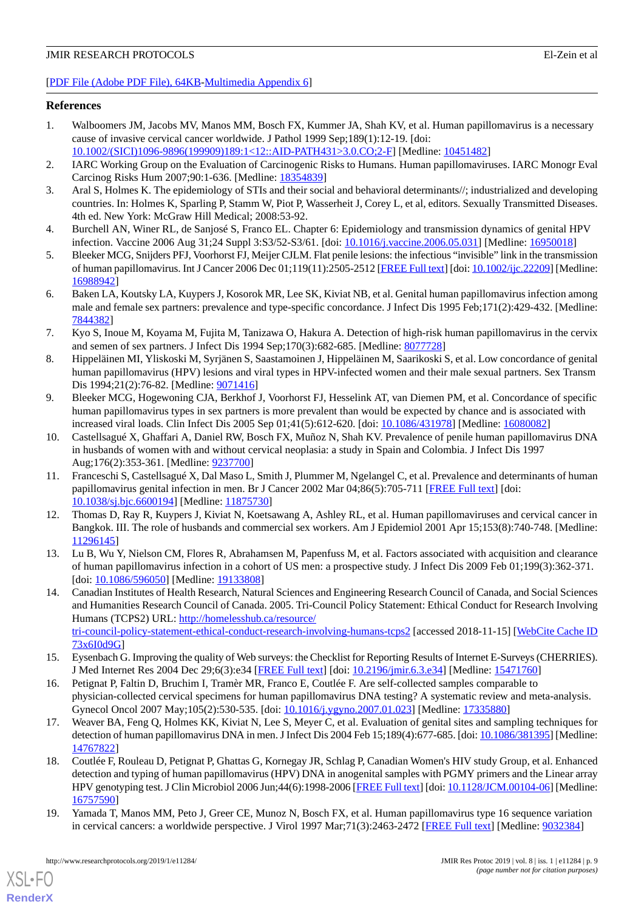#### [[PDF File \(Adobe PDF File\), 64KB-Multimedia Appendix 6](https://jmir.org/api/download?alt_name=resprot_v8i1e11284_app6.pdf)]

#### <span id="page-8-0"></span>**References**

- 1. Walboomers JM, Jacobs MV, Manos MM, Bosch FX, Kummer JA, Shah KV, et al. Human papillomavirus is a necessary cause of invasive cervical cancer worldwide. J Pathol 1999 Sep;189(1):12-19. [doi:
- <span id="page-8-1"></span>[10.1002/\(SICI\)1096-9896\(199909\)189:1<12::AID-PATH431>3.0.CO;2-F\]](http://dx.doi.org/10.1002/(SICI)1096-9896(199909)189:1<12::AID-PATH431>3.0.CO;2-F) [Medline: [10451482](http://www.ncbi.nlm.nih.gov/entrez/query.fcgi?cmd=Retrieve&db=PubMed&list_uids=10451482&dopt=Abstract)]
- <span id="page-8-2"></span>2. IARC Working Group on the Evaluation of Carcinogenic Risks to Humans. Human papillomaviruses. IARC Monogr Eval Carcinog Risks Hum 2007;90:1-636. [Medline: [18354839\]](http://www.ncbi.nlm.nih.gov/entrez/query.fcgi?cmd=Retrieve&db=PubMed&list_uids=18354839&dopt=Abstract)
- <span id="page-8-3"></span>3. Aral S, Holmes K. The epidemiology of STIs and their social and behavioral determinants//; industrialized and developing countries. In: Holmes K, Sparling P, Stamm W, Piot P, Wasserheit J, Corey L, et al, editors. Sexually Transmitted Diseases. 4th ed. New York: McGraw Hill Medical; 2008:53-92.
- <span id="page-8-4"></span>4. Burchell AN, Winer RL, de Sanjosé S, Franco EL. Chapter 6: Epidemiology and transmission dynamics of genital HPV infection. Vaccine 2006 Aug 31;24 Suppl 3:S3/52-S3/61. [doi: [10.1016/j.vaccine.2006.05.031](http://dx.doi.org/10.1016/j.vaccine.2006.05.031)] [Medline: [16950018\]](http://www.ncbi.nlm.nih.gov/entrez/query.fcgi?cmd=Retrieve&db=PubMed&list_uids=16950018&dopt=Abstract)
- <span id="page-8-5"></span>5. Bleeker MCG, Snijders PFJ, Voorhorst FJ, Meijer CJLM. Flat penile lesions: the infectious "invisible" link in the transmission of human papillomavirus. Int J Cancer 2006 Dec 01;119(11):2505-2512 [\[FREE Full text\]](https://doi.org/10.1002/ijc.22209) [doi: [10.1002/ijc.22209\]](http://dx.doi.org/10.1002/ijc.22209) [Medline: [16988942](http://www.ncbi.nlm.nih.gov/entrez/query.fcgi?cmd=Retrieve&db=PubMed&list_uids=16988942&dopt=Abstract)]
- <span id="page-8-6"></span>6. Baken LA, Koutsky LA, Kuypers J, Kosorok MR, Lee SK, Kiviat NB, et al. Genital human papillomavirus infection among male and female sex partners: prevalence and type-specific concordance. J Infect Dis 1995 Feb;171(2):429-432. [Medline: [7844382\]](http://www.ncbi.nlm.nih.gov/entrez/query.fcgi?cmd=Retrieve&db=PubMed&list_uids=7844382&dopt=Abstract)
- <span id="page-8-7"></span>7. Kyo S, Inoue M, Koyama M, Fujita M, Tanizawa O, Hakura A. Detection of high-risk human papillomavirus in the cervix and semen of sex partners. J Infect Dis 1994 Sep;170(3):682-685. [Medline: [8077728\]](http://www.ncbi.nlm.nih.gov/entrez/query.fcgi?cmd=Retrieve&db=PubMed&list_uids=8077728&dopt=Abstract)
- <span id="page-8-8"></span>8. Hippeläinen MI, Yliskoski M, Syrjänen S, Saastamoinen J, Hippeläinen M, Saarikoski S, et al. Low concordance of genital human papillomavirus (HPV) lesions and viral types in HPV-infected women and their male sexual partners. Sex Transm Dis 1994;21(2):76-82. [Medline: [9071416](http://www.ncbi.nlm.nih.gov/entrez/query.fcgi?cmd=Retrieve&db=PubMed&list_uids=9071416&dopt=Abstract)]
- <span id="page-8-9"></span>9. Bleeker MCG, Hogewoning CJA, Berkhof J, Voorhorst FJ, Hesselink AT, van Diemen PM, et al. Concordance of specific human papillomavirus types in sex partners is more prevalent than would be expected by chance and is associated with increased viral loads. Clin Infect Dis 2005 Sep 01;41(5):612-620. [doi: [10.1086/431978\]](http://dx.doi.org/10.1086/431978) [Medline: [16080082\]](http://www.ncbi.nlm.nih.gov/entrez/query.fcgi?cmd=Retrieve&db=PubMed&list_uids=16080082&dopt=Abstract)
- <span id="page-8-12"></span>10. Castellsagué X, Ghaffari A, Daniel RW, Bosch FX, Muñoz N, Shah KV. Prevalence of penile human papillomavirus DNA in husbands of women with and without cervical neoplasia: a study in Spain and Colombia. J Infect Dis 1997 Aug;176(2):353-361. [Medline: [9237700](http://www.ncbi.nlm.nih.gov/entrez/query.fcgi?cmd=Retrieve&db=PubMed&list_uids=9237700&dopt=Abstract)]
- <span id="page-8-10"></span>11. Franceschi S, Castellsagué X, Dal Maso L, Smith J, Plummer M, Ngelangel C, et al. Prevalence and determinants of human papillomavirus genital infection in men. Br J Cancer 2002 Mar 04;86(5):705-711 [[FREE Full text](http://dx.doi.org/10.1038/sj.bjc.6600194)] [doi: [10.1038/sj.bjc.6600194\]](http://dx.doi.org/10.1038/sj.bjc.6600194) [Medline: [11875730](http://www.ncbi.nlm.nih.gov/entrez/query.fcgi?cmd=Retrieve&db=PubMed&list_uids=11875730&dopt=Abstract)]
- <span id="page-8-13"></span><span id="page-8-11"></span>12. Thomas D, Ray R, Kuypers J, Kiviat N, Koetsawang A, Ashley RL, et al. Human papillomaviruses and cervical cancer in Bangkok. III. The role of husbands and commercial sex workers. Am J Epidemiol 2001 Apr 15;153(8):740-748. [Medline: [11296145](http://www.ncbi.nlm.nih.gov/entrez/query.fcgi?cmd=Retrieve&db=PubMed&list_uids=11296145&dopt=Abstract)]
- 13. Lu B, Wu Y, Nielson CM, Flores R, Abrahamsen M, Papenfuss M, et al. Factors associated with acquisition and clearance of human papillomavirus infection in a cohort of US men: a prospective study. J Infect Dis 2009 Feb 01;199(3):362-371. [doi: [10.1086/596050](http://dx.doi.org/10.1086/596050)] [Medline: [19133808\]](http://www.ncbi.nlm.nih.gov/entrez/query.fcgi?cmd=Retrieve&db=PubMed&list_uids=19133808&dopt=Abstract)
- <span id="page-8-15"></span><span id="page-8-14"></span>14. Canadian Institutes of Health Research, Natural Sciences and Engineering Research Council of Canada, and Social Sciences and Humanities Research Council of Canada. 2005. Tri-Council Policy Statement: Ethical Conduct for Research Involving Humans (TCPS2) URL: [http://homelesshub.ca/resource/](http://homelesshub.ca/resource/tri-council-policy-statement-ethical-conduct-research-involving-humans-tcps2) [tri-council-policy-statement-ethical-conduct-research-involving-humans-tcps2](http://homelesshub.ca/resource/tri-council-policy-statement-ethical-conduct-research-involving-humans-tcps2) [accessed 2018-11-15] [[WebCite Cache ID](http://www.webcitation.org/

                                73x6I0d9G) [73x6I0d9G](http://www.webcitation.org/

                                73x6I0d9G)]
- <span id="page-8-16"></span>15. Eysenbach G. Improving the quality of Web surveys: the Checklist for Reporting Results of Internet E-Surveys (CHERRIES). J Med Internet Res 2004 Dec 29;6(3):e34 [\[FREE Full text\]](http://www.jmir.org/2004/3/e34/) [doi: [10.2196/jmir.6.3.e34](http://dx.doi.org/10.2196/jmir.6.3.e34)] [Medline: [15471760](http://www.ncbi.nlm.nih.gov/entrez/query.fcgi?cmd=Retrieve&db=PubMed&list_uids=15471760&dopt=Abstract)]
- <span id="page-8-17"></span>16. Petignat P, Faltin D, Bruchim I, Tramèr MR, Franco E, Coutlée F. Are self-collected samples comparable to physician-collected cervical specimens for human papillomavirus DNA testing? A systematic review and meta-analysis. Gynecol Oncol 2007 May;105(2):530-535. [doi: [10.1016/j.ygyno.2007.01.023\]](http://dx.doi.org/10.1016/j.ygyno.2007.01.023) [Medline: [17335880](http://www.ncbi.nlm.nih.gov/entrez/query.fcgi?cmd=Retrieve&db=PubMed&list_uids=17335880&dopt=Abstract)]
- <span id="page-8-18"></span>17. Weaver BA, Feng Q, Holmes KK, Kiviat N, Lee S, Meyer C, et al. Evaluation of genital sites and sampling techniques for detection of human papillomavirus DNA in men. J Infect Dis 2004 Feb 15;189(4):677-685. [doi: [10.1086/381395](http://dx.doi.org/10.1086/381395)] [Medline: [14767822](http://www.ncbi.nlm.nih.gov/entrez/query.fcgi?cmd=Retrieve&db=PubMed&list_uids=14767822&dopt=Abstract)]
- 18. Coutlée F, Rouleau D, Petignat P, Ghattas G, Kornegay JR, Schlag P, Canadian Women's HIV study Group, et al. Enhanced detection and typing of human papillomavirus (HPV) DNA in anogenital samples with PGMY primers and the Linear array HPV genotyping test. J Clin Microbiol 2006 Jun;44(6):1998-2006 [[FREE Full text](http://jcm.asm.org/cgi/pmidlookup?view=long&pmid=16757590)] [doi: [10.1128/JCM.00104-06](http://dx.doi.org/10.1128/JCM.00104-06)] [Medline: [16757590](http://www.ncbi.nlm.nih.gov/entrez/query.fcgi?cmd=Retrieve&db=PubMed&list_uids=16757590&dopt=Abstract)]
- 19. Yamada T, Manos MM, Peto J, Greer CE, Munoz N, Bosch FX, et al. Human papillomavirus type 16 sequence variation in cervical cancers: a worldwide perspective. J Virol 1997 Mar;71(3):2463-2472 [\[FREE Full text\]](http://jvi.asm.org/cgi/pmidlookup?view=long&pmid=9032384) [Medline: [9032384\]](http://www.ncbi.nlm.nih.gov/entrez/query.fcgi?cmd=Retrieve&db=PubMed&list_uids=9032384&dopt=Abstract)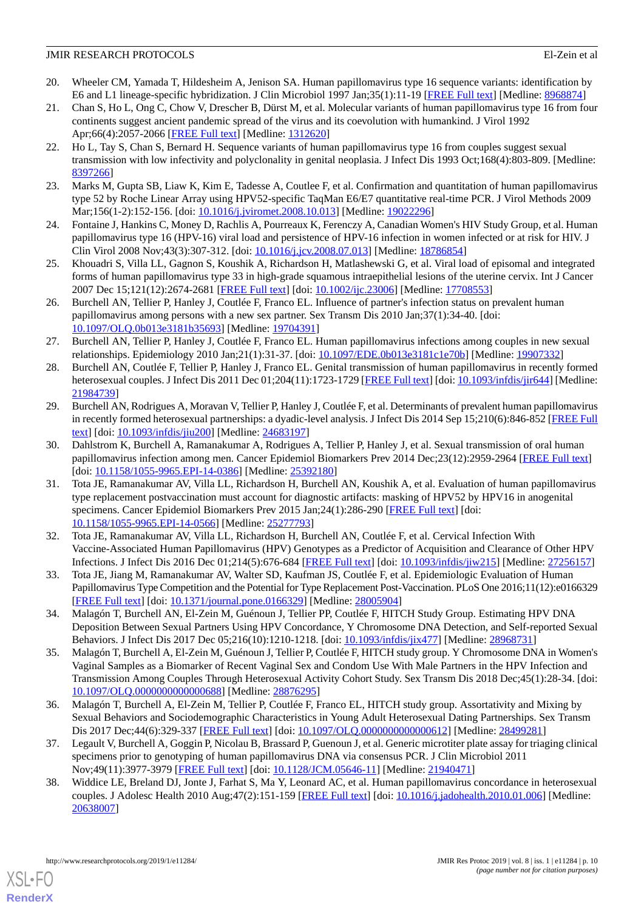- 20. Wheeler CM, Yamada T, Hildesheim A, Jenison SA. Human papillomavirus type 16 sequence variants: identification by E6 and L1 lineage-specific hybridization. J Clin Microbiol 1997 Jan;35(1):11-19 [\[FREE Full text\]](http://jcm.asm.org/cgi/pmidlookup?view=long&pmid=8968874) [Medline: [8968874\]](http://www.ncbi.nlm.nih.gov/entrez/query.fcgi?cmd=Retrieve&db=PubMed&list_uids=8968874&dopt=Abstract)
- 21. Chan S, Ho L, Ong C, Chow V, Drescher B, Dürst M, et al. Molecular variants of human papillomavirus type 16 from four continents suggest ancient pandemic spread of the virus and its coevolution with humankind. J Virol 1992 Apr;66(4):2057-2066 [\[FREE Full text\]](http://jvi.asm.org/cgi/pmidlookup?view=long&pmid=1312620) [Medline: [1312620\]](http://www.ncbi.nlm.nih.gov/entrez/query.fcgi?cmd=Retrieve&db=PubMed&list_uids=1312620&dopt=Abstract)
- <span id="page-9-0"></span>22. Ho L, Tay S, Chan S, Bernard H. Sequence variants of human papillomavirus type 16 from couples suggest sexual transmission with low infectivity and polyclonality in genital neoplasia. J Infect Dis 1993 Oct;168(4):803-809. [Medline: [8397266\]](http://www.ncbi.nlm.nih.gov/entrez/query.fcgi?cmd=Retrieve&db=PubMed&list_uids=8397266&dopt=Abstract)
- <span id="page-9-1"></span>23. Marks M, Gupta SB, Liaw K, Kim E, Tadesse A, Coutlee F, et al. Confirmation and quantitation of human papillomavirus type 52 by Roche Linear Array using HPV52-specific TaqMan E6/E7 quantitative real-time PCR. J Virol Methods 2009 Mar;156(1-2):152-156. [doi: [10.1016/j.jviromet.2008.10.013](http://dx.doi.org/10.1016/j.jviromet.2008.10.013)] [Medline: [19022296](http://www.ncbi.nlm.nih.gov/entrez/query.fcgi?cmd=Retrieve&db=PubMed&list_uids=19022296&dopt=Abstract)]
- <span id="page-9-2"></span>24. Fontaine J, Hankins C, Money D, Rachlis A, Pourreaux K, Ferenczy A, Canadian Women's HIV Study Group, et al. Human papillomavirus type 16 (HPV-16) viral load and persistence of HPV-16 infection in women infected or at risk for HIV. J Clin Virol 2008 Nov;43(3):307-312. [doi: [10.1016/j.jcv.2008.07.013](http://dx.doi.org/10.1016/j.jcv.2008.07.013)] [Medline: [18786854](http://www.ncbi.nlm.nih.gov/entrez/query.fcgi?cmd=Retrieve&db=PubMed&list_uids=18786854&dopt=Abstract)]
- <span id="page-9-3"></span>25. Khouadri S, Villa LL, Gagnon S, Koushik A, Richardson H, Matlashewski G, et al. Viral load of episomal and integrated forms of human papillomavirus type 33 in high-grade squamous intraepithelial lesions of the uterine cervix. Int J Cancer 2007 Dec 15;121(12):2674-2681 [\[FREE Full text](https://doi.org/10.1002/ijc.23006)] [doi: [10.1002/ijc.23006](http://dx.doi.org/10.1002/ijc.23006)] [Medline: [17708553](http://www.ncbi.nlm.nih.gov/entrez/query.fcgi?cmd=Retrieve&db=PubMed&list_uids=17708553&dopt=Abstract)]
- <span id="page-9-4"></span>26. Burchell AN, Tellier P, Hanley J, Coutlée F, Franco EL. Influence of partner's infection status on prevalent human papillomavirus among persons with a new sex partner. Sex Transm Dis 2010 Jan;37(1):34-40. [doi: [10.1097/OLQ.0b013e3181b35693](http://dx.doi.org/10.1097/OLQ.0b013e3181b35693)] [Medline: [19704391](http://www.ncbi.nlm.nih.gov/entrez/query.fcgi?cmd=Retrieve&db=PubMed&list_uids=19704391&dopt=Abstract)]
- <span id="page-9-5"></span>27. Burchell AN, Tellier P, Hanley J, Coutlée F, Franco EL. Human papillomavirus infections among couples in new sexual relationships. Epidemiology 2010 Jan;21(1):31-37. [doi: [10.1097/EDE.0b013e3181c1e70b](http://dx.doi.org/10.1097/EDE.0b013e3181c1e70b)] [Medline: [19907332\]](http://www.ncbi.nlm.nih.gov/entrez/query.fcgi?cmd=Retrieve&db=PubMed&list_uids=19907332&dopt=Abstract)
- <span id="page-9-6"></span>28. Burchell AN, Coutlée F, Tellier P, Hanley J, Franco EL. Genital transmission of human papillomavirus in recently formed heterosexual couples. J Infect Dis 2011 Dec 01;204(11):1723-1729 [\[FREE Full text\]](http://europepmc.org/abstract/MED/21984739) [doi: [10.1093/infdis/jir644\]](http://dx.doi.org/10.1093/infdis/jir644) [Medline: [21984739](http://www.ncbi.nlm.nih.gov/entrez/query.fcgi?cmd=Retrieve&db=PubMed&list_uids=21984739&dopt=Abstract)]
- <span id="page-9-7"></span>29. Burchell AN, Rodrigues A, Moravan V, Tellier P, Hanley J, Coutlée F, et al. Determinants of prevalent human papillomavirus in recently formed heterosexual partnerships: a dyadic-level analysis. J Infect Dis 2014 Sep 15;210(6):846-852 [\[FREE Full](http://europepmc.org/abstract/MED/24683197) [text](http://europepmc.org/abstract/MED/24683197)] [doi: [10.1093/infdis/jiu200\]](http://dx.doi.org/10.1093/infdis/jiu200) [Medline: [24683197\]](http://www.ncbi.nlm.nih.gov/entrez/query.fcgi?cmd=Retrieve&db=PubMed&list_uids=24683197&dopt=Abstract)
- <span id="page-9-8"></span>30. Dahlstrom K, Burchell A, Ramanakumar A, Rodrigues A, Tellier P, Hanley J, et al. Sexual transmission of oral human papillomavirus infection among men. Cancer Epidemiol Biomarkers Prev 2014 Dec;23(12):2959-2964 [\[FREE Full text\]](http://cebp.aacrjournals.org/cgi/pmidlookup?view=long&pmid=25392180) [doi: [10.1158/1055-9965.EPI-14-0386\]](http://dx.doi.org/10.1158/1055-9965.EPI-14-0386) [Medline: [25392180](http://www.ncbi.nlm.nih.gov/entrez/query.fcgi?cmd=Retrieve&db=PubMed&list_uids=25392180&dopt=Abstract)]
- <span id="page-9-9"></span>31. Tota JE, Ramanakumar AV, Villa LL, Richardson H, Burchell AN, Koushik A, et al. Evaluation of human papillomavirus type replacement postvaccination must account for diagnostic artifacts: masking of HPV52 by HPV16 in anogenital specimens. Cancer Epidemiol Biomarkers Prev 2015 Jan;24(1):286-290 [\[FREE Full text](http://cebp.aacrjournals.org/cgi/pmidlookup?view=long&pmid=25277793)] [doi: [10.1158/1055-9965.EPI-14-0566](http://dx.doi.org/10.1158/1055-9965.EPI-14-0566)] [Medline: [25277793](http://www.ncbi.nlm.nih.gov/entrez/query.fcgi?cmd=Retrieve&db=PubMed&list_uids=25277793&dopt=Abstract)]
- <span id="page-9-11"></span><span id="page-9-10"></span>32. Tota JE, Ramanakumar AV, Villa LL, Richardson H, Burchell AN, Coutlée F, et al. Cervical Infection With Vaccine-Associated Human Papillomavirus (HPV) Genotypes as a Predictor of Acquisition and Clearance of Other HPV Infections. J Infect Dis 2016 Dec 01;214(5):676-684 [[FREE Full text](http://europepmc.org/abstract/MED/27256157)] [doi: [10.1093/infdis/jiw215\]](http://dx.doi.org/10.1093/infdis/jiw215) [Medline: [27256157\]](http://www.ncbi.nlm.nih.gov/entrez/query.fcgi?cmd=Retrieve&db=PubMed&list_uids=27256157&dopt=Abstract)
- <span id="page-9-12"></span>33. Tota JE, Jiang M, Ramanakumar AV, Walter SD, Kaufman JS, Coutlée F, et al. Epidemiologic Evaluation of Human Papillomavirus Type Competition and the Potential for Type Replacement Post-Vaccination. PLoS One 2016;11(12):e0166329 [[FREE Full text](http://dx.plos.org/10.1371/journal.pone.0166329)] [doi: [10.1371/journal.pone.0166329](http://dx.doi.org/10.1371/journal.pone.0166329)] [Medline: [28005904](http://www.ncbi.nlm.nih.gov/entrez/query.fcgi?cmd=Retrieve&db=PubMed&list_uids=28005904&dopt=Abstract)]
- 34. Malagón T, Burchell AN, El-Zein M, Guénoun J, Tellier PP, Coutlée F, HITCH Study Group. Estimating HPV DNA Deposition Between Sexual Partners Using HPV Concordance, Y Chromosome DNA Detection, and Self-reported Sexual Behaviors. J Infect Dis 2017 Dec 05;216(10):1210-1218. [doi: [10.1093/infdis/jix477\]](http://dx.doi.org/10.1093/infdis/jix477) [Medline: [28968731\]](http://www.ncbi.nlm.nih.gov/entrez/query.fcgi?cmd=Retrieve&db=PubMed&list_uids=28968731&dopt=Abstract)
- <span id="page-9-14"></span><span id="page-9-13"></span>35. Malagón T, Burchell A, El-Zein M, Guénoun J, Tellier P, Coutlée F, HITCH study group. Y Chromosome DNA in Women's Vaginal Samples as a Biomarker of Recent Vaginal Sex and Condom Use With Male Partners in the HPV Infection and Transmission Among Couples Through Heterosexual Activity Cohort Study. Sex Transm Dis 2018 Dec;45(1):28-34. [doi: [10.1097/OLQ.0000000000000688\]](http://dx.doi.org/10.1097/OLQ.0000000000000688) [Medline: [28876295\]](http://www.ncbi.nlm.nih.gov/entrez/query.fcgi?cmd=Retrieve&db=PubMed&list_uids=28876295&dopt=Abstract)
- <span id="page-9-15"></span>36. Malagón T, Burchell A, El-Zein M, Tellier P, Coutlée F, Franco EL, HITCH study group. Assortativity and Mixing by Sexual Behaviors and Sociodemographic Characteristics in Young Adult Heterosexual Dating Partnerships. Sex Transm Dis 2017 Dec;44(6):329-337 [[FREE Full text](http://europepmc.org/abstract/MED/28499281)] [doi: [10.1097/OLQ.0000000000000612\]](http://dx.doi.org/10.1097/OLQ.0000000000000612) [Medline: [28499281\]](http://www.ncbi.nlm.nih.gov/entrez/query.fcgi?cmd=Retrieve&db=PubMed&list_uids=28499281&dopt=Abstract)
- 37. Legault V, Burchell A, Goggin P, Nicolau B, Brassard P, Guenoun J, et al. Generic microtiter plate assay for triaging clinical specimens prior to genotyping of human papillomavirus DNA via consensus PCR. J Clin Microbiol 2011 Nov;49(11):3977-3979 [[FREE Full text](http://jcm.asm.org/cgi/pmidlookup?view=long&pmid=21940471)] [doi: [10.1128/JCM.05646-11](http://dx.doi.org/10.1128/JCM.05646-11)] [Medline: [21940471\]](http://www.ncbi.nlm.nih.gov/entrez/query.fcgi?cmd=Retrieve&db=PubMed&list_uids=21940471&dopt=Abstract)
- 38. Widdice LE, Breland DJ, Jonte J, Farhat S, Ma Y, Leonard AC, et al. Human papillomavirus concordance in heterosexual couples. J Adolesc Health 2010 Aug;47(2):151-159 [[FREE Full text](http://europepmc.org/abstract/MED/20638007)] [doi: [10.1016/j.jadohealth.2010.01.006](http://dx.doi.org/10.1016/j.jadohealth.2010.01.006)] [Medline: [20638007](http://www.ncbi.nlm.nih.gov/entrez/query.fcgi?cmd=Retrieve&db=PubMed&list_uids=20638007&dopt=Abstract)]